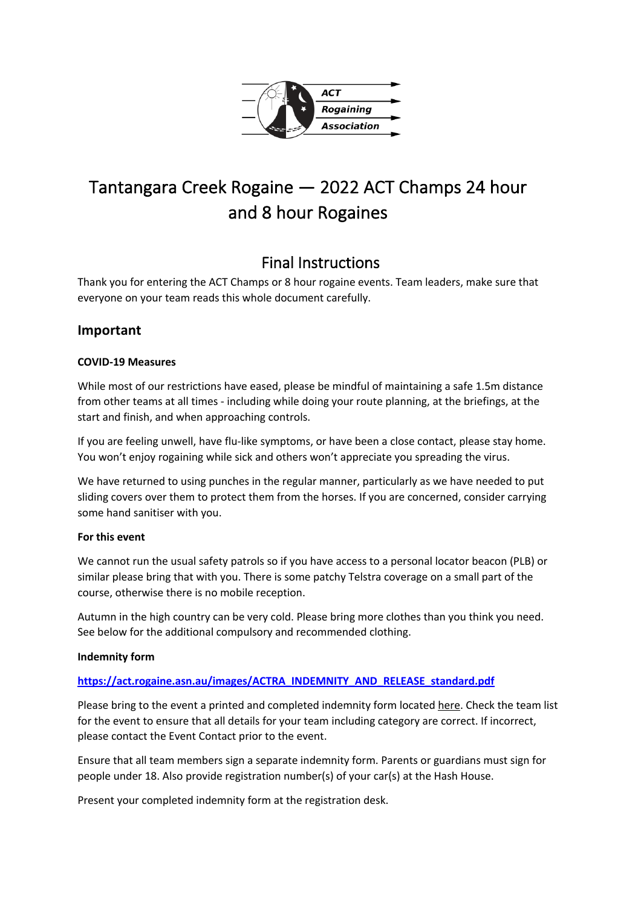

# Tantangara Creek Rogaine — 2022 ACT Champs 24 hour and 8 hour Rogaines

# Final Instructions

Thank you for entering the ACT Champs or 8 hour rogaine events. Team leaders, make sure that everyone on your team reads this whole document carefully.

# **Important**

# **COVID-19 Measures**

While most of our restrictions have eased, please be mindful of maintaining a safe 1.5m distance from other teams at all times - including while doing your route planning, at the briefings, at the start and finish, and when approaching controls.

If you are feeling unwell, have flu-like symptoms, or have been a close contact, please stay home. You won't enjoy rogaining while sick and others won't appreciate you spreading the virus.

We have returned to using punches in the regular manner, particularly as we have needed to put sliding covers over them to protect them from the horses. If you are concerned, consider carrying some hand sanitiser with you.

# **For this event**

We cannot run the usual safety patrols so if you have access to a personal locator beacon (PLB) or similar please bring that with you. There is some patchy Telstra coverage on a small part of the course, otherwise there is no mobile reception.

Autumn in the high country can be very cold. Please bring more clothes than you think you need. See below for the additional compulsory and recommended clothing.

# **Indemnity form**

# **https://act.rogaine.asn.au/images/ACTRA\_INDEMNITY\_AND\_RELEASE\_standard.pdf**

Please bring to the event a printed and completed indemnity form located here. Check the team list for the event to ensure that all details for your team including category are correct. If incorrect, please contact the Event Contact prior to the event.

Ensure that all team members sign a separate indemnity form. Parents or guardians must sign for people under 18. Also provide registration number(s) of your car(s) at the Hash House.

Present your completed indemnity form at the registration desk.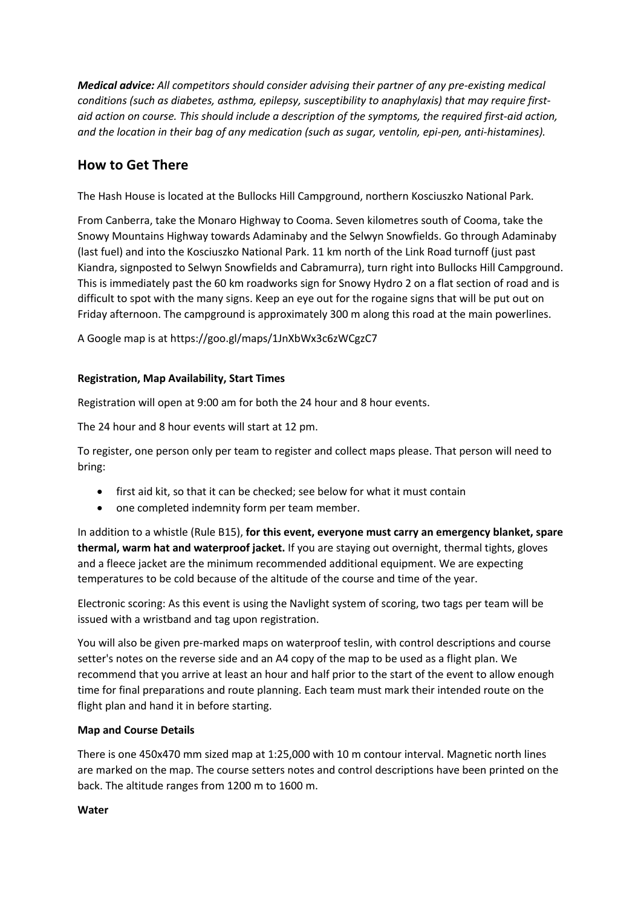*Medical advice: All competitors should consider advising their partner of any pre-existing medical conditions (such as diabetes, asthma, epilepsy, susceptibility to anaphylaxis) that may require firstaid action on course. This should include a description of the symptoms, the required first-aid action, and the location in their bag of any medication (such as sugar, ventolin, epi-pen, anti-histamines).*

# **How to Get There**

The Hash House is located at the Bullocks Hill Campground, northern Kosciuszko National Park.

From Canberra, take the Monaro Highway to Cooma. Seven kilometres south of Cooma, take the Snowy Mountains Highway towards Adaminaby and the Selwyn Snowfields. Go through Adaminaby (last fuel) and into the Kosciuszko National Park. 11 km north of the Link Road turnoff (just past Kiandra, signposted to Selwyn Snowfields and Cabramurra), turn right into Bullocks Hill Campground. This is immediately past the 60 km roadworks sign for Snowy Hydro 2 on a flat section of road and is difficult to spot with the many signs. Keep an eye out for the rogaine signs that will be put out on Friday afternoon. The campground is approximately 300 m along this road at the main powerlines.

A Google map is at https://goo.gl/maps/1JnXbWx3c6zWCgzC7

# **Registration, Map Availability, Start Times**

Registration will open at 9:00 am for both the 24 hour and 8 hour events.

The 24 hour and 8 hour events will start at 12 pm.

To register, one person only per team to register and collect maps please. That person will need to bring:

- first aid kit, so that it can be checked; see below for what it must contain
- one completed indemnity form per team member.

In addition to a whistle (Rule B15), **for this event, everyone must carry an emergency blanket, spare thermal, warm hat and waterproof jacket.** If you are staying out overnight, thermal tights, gloves and a fleece jacket are the minimum recommended additional equipment. We are expecting temperatures to be cold because of the altitude of the course and time of the year.

Electronic scoring: As this event is using the Navlight system of scoring, two tags per team will be issued with a wristband and tag upon registration.

You will also be given pre-marked maps on waterproof teslin, with control descriptions and course setter's notes on the reverse side and an A4 copy of the map to be used as a flight plan. We recommend that you arrive at least an hour and half prior to the start of the event to allow enough time for final preparations and route planning. Each team must mark their intended route on the flight plan and hand it in before starting.

# **Map and Course Details**

There is one 450x470 mm sized map at 1:25,000 with 10 m contour interval. Magnetic north lines are marked on the map. The course setters notes and control descriptions have been printed on the back. The altitude ranges from 1200 m to 1600 m.

#### **Water**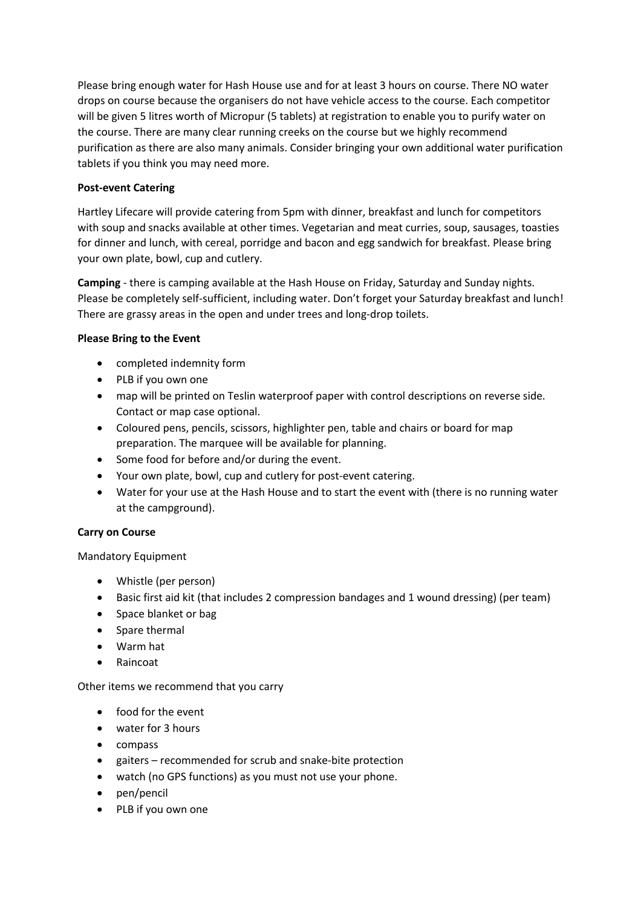Please bring enough water for Hash House use and for at least 3 hours on course. There NO water drops on course because the organisers do not have vehicle access to the course. Each competitor will be given 5 litres worth of Micropur (5 tablets) at registration to enable you to purify water on the course. There are many clear running creeks on the course but we highly recommend purification as there are also many animals. Consider bringing your own additional water purification tablets if you think you may need more.

# **Post-event Catering**

Hartley Lifecare will provide catering from 5pm with dinner, breakfast and lunch for competitors with soup and snacks available at other times. Vegetarian and meat curries, soup, sausages, toasties for dinner and lunch, with cereal, porridge and bacon and egg sandwich for breakfast. Please bring your own plate, bowl, cup and cutlery.

**Camping** - there is camping available at the Hash House on Friday, Saturday and Sunday nights. Please be completely self-sufficient, including water. Don't forget your Saturday breakfast and lunch! There are grassy areas in the open and under trees and long-drop toilets.

# **Please Bring to the Event**

- completed indemnity form
- PLB if you own one
- map will be printed on Teslin waterproof paper with control descriptions on reverse side. Contact or map case optional.
- Coloured pens, pencils, scissors, highlighter pen, table and chairs or board for map preparation. The marquee will be available for planning.
- Some food for before and/or during the event.
- Your own plate, bowl, cup and cutlery for post-event catering.
- Water for your use at the Hash House and to start the event with (there is no running water at the campground).

# **Carry on Course**

Mandatory Equipment

- Whistle (per person)
- Basic first aid kit (that includes 2 compression bandages and 1 wound dressing) (per team)
- Space blanket or bag
- Spare thermal
- Warm hat
- Raincoat

# Other items we recommend that you carry

- food for the event
- water for 3 hours
- compass
- gaiters recommended for scrub and snake-bite protection
- watch (no GPS functions) as you must not use your phone.
- pen/pencil
- PLB if you own one